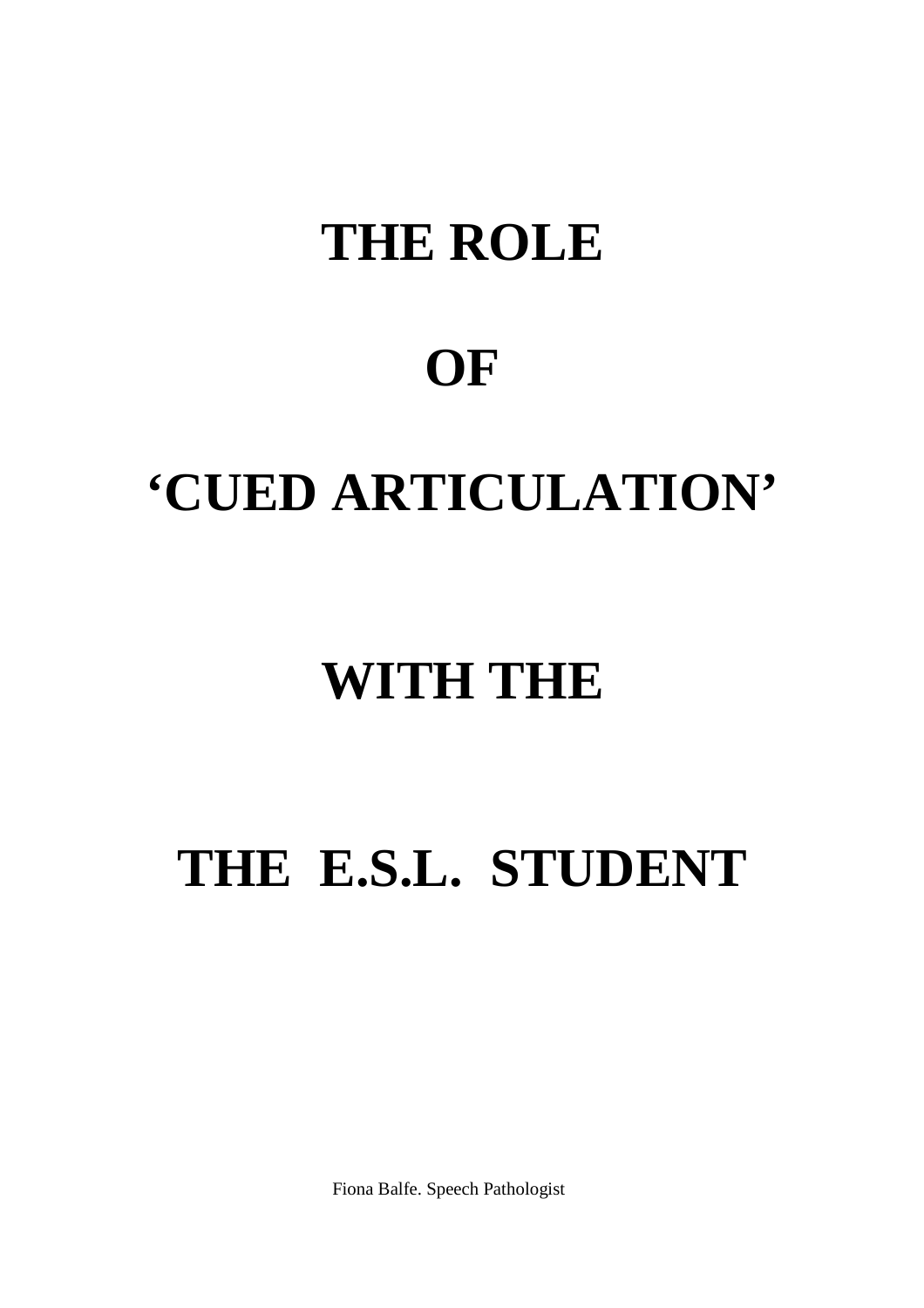# **THE ROLE**

# **OF**

# **'CUED ARTICULATION'**

# **WITH THE**

# **THE E.S.L. STUDENT**

Fiona Balfe. Speech Pathologist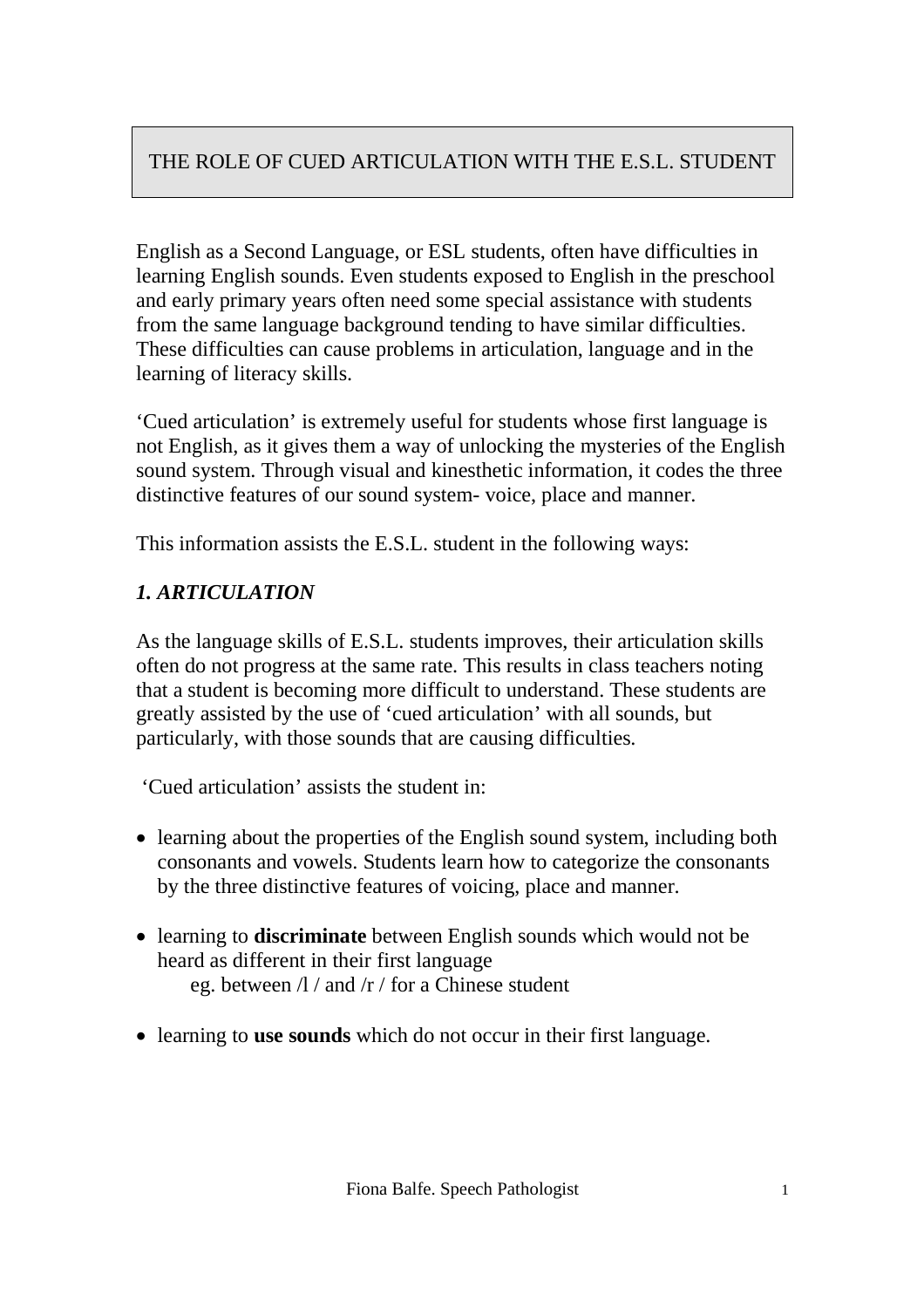English as a Second Language, or ESL students, often have difficulties in learning English sounds. Even students exposed to English in the preschool and early primary years often need some special assistance with students from the same language background tending to have similar difficulties. These difficulties can cause problems in articulation, language and in the learning of literacy skills.

'Cued articulation' is extremely useful for students whose first language is not English, as it gives them a way of unlocking the mysteries of the English sound system. Through visual and kinesthetic information, it codes the three distinctive features of our sound system- voice, place and manner.

This information assists the E.S.L. student in the following ways:

### *1. ARTICULATION*

As the language skills of E.S.L. students improves, their articulation skills often do not progress at the same rate. This results in class teachers noting that a student is becoming more difficult to understand. These students are greatly assisted by the use of 'cued articulation' with all sounds, but particularly, with those sounds that are causing difficulties.

'Cued articulation' assists the student in:

- learning about the properties of the English sound system, including both consonants and vowels. Students learn how to categorize the consonants by the three distinctive features of voicing, place and manner.
- learning to **discriminate** between English sounds which would not be heard as different in their first language eg. between /l / and /r / for a Chinese student
- learning to **use sounds** which do not occur in their first language.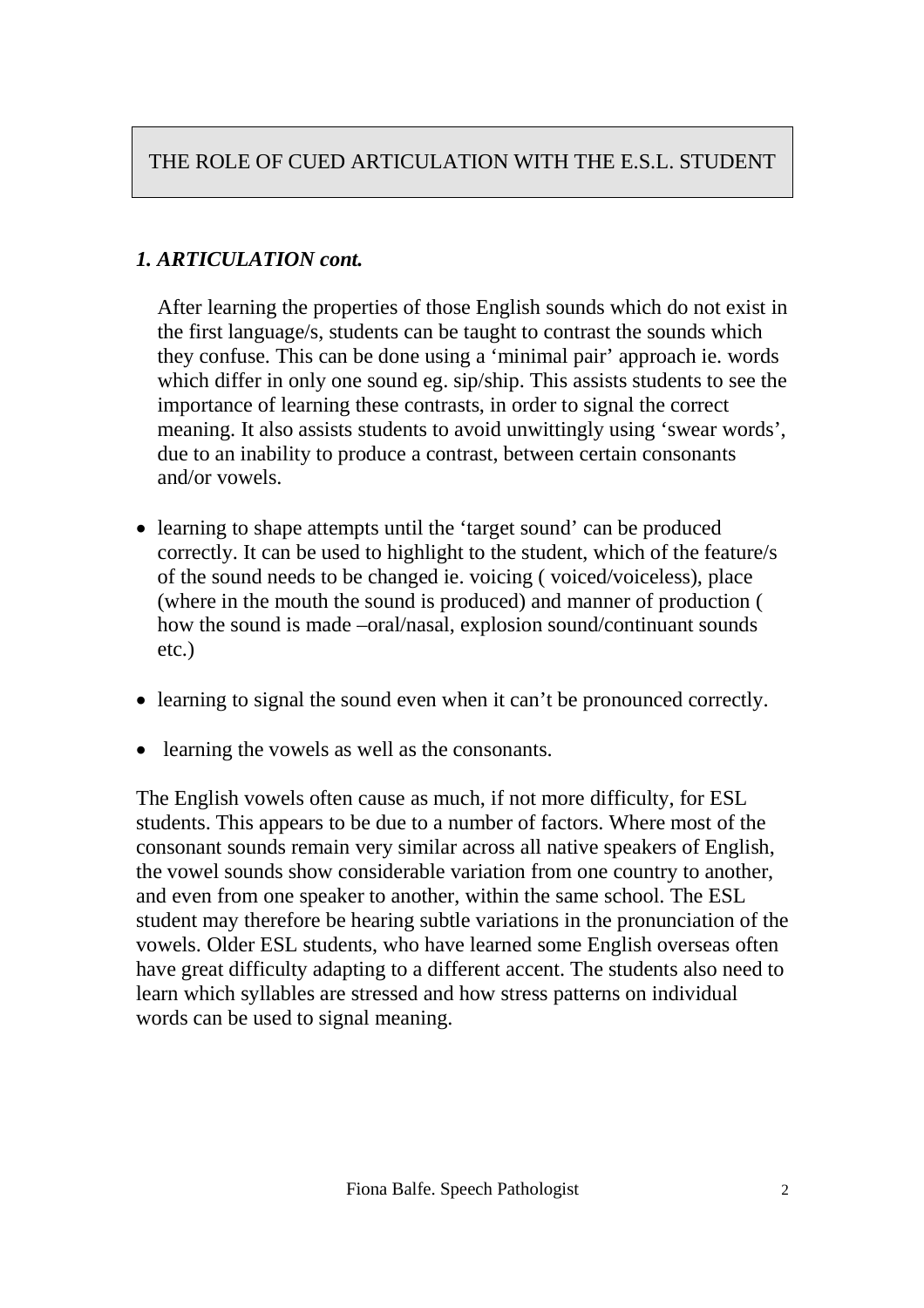## *1. ARTICULATION cont.*

After learning the properties of those English sounds which do not exist in the first language/s, students can be taught to contrast the sounds which they confuse. This can be done using a 'minimal pair' approach ie. words which differ in only one sound eg. sip/ship. This assists students to see the importance of learning these contrasts, in order to signal the correct meaning. It also assists students to avoid unwittingly using 'swear words', due to an inability to produce a contrast, between certain consonants and/or vowels.

- learning to shape attempts until the 'target sound' can be produced correctly. It can be used to highlight to the student, which of the feature/s of the sound needs to be changed ie. voicing ( voiced/voiceless), place (where in the mouth the sound is produced) and manner of production ( how the sound is made –oral/nasal, explosion sound/continuant sounds etc.)
- learning to signal the sound even when it can't be pronounced correctly.
- learning the vowels as well as the consonants.

The English vowels often cause as much, if not more difficulty, for ESL students. This appears to be due to a number of factors. Where most of the consonant sounds remain very similar across all native speakers of English, the vowel sounds show considerable variation from one country to another, and even from one speaker to another, within the same school. The ESL student may therefore be hearing subtle variations in the pronunciation of the vowels. Older ESL students, who have learned some English overseas often have great difficulty adapting to a different accent. The students also need to learn which syllables are stressed and how stress patterns on individual words can be used to signal meaning.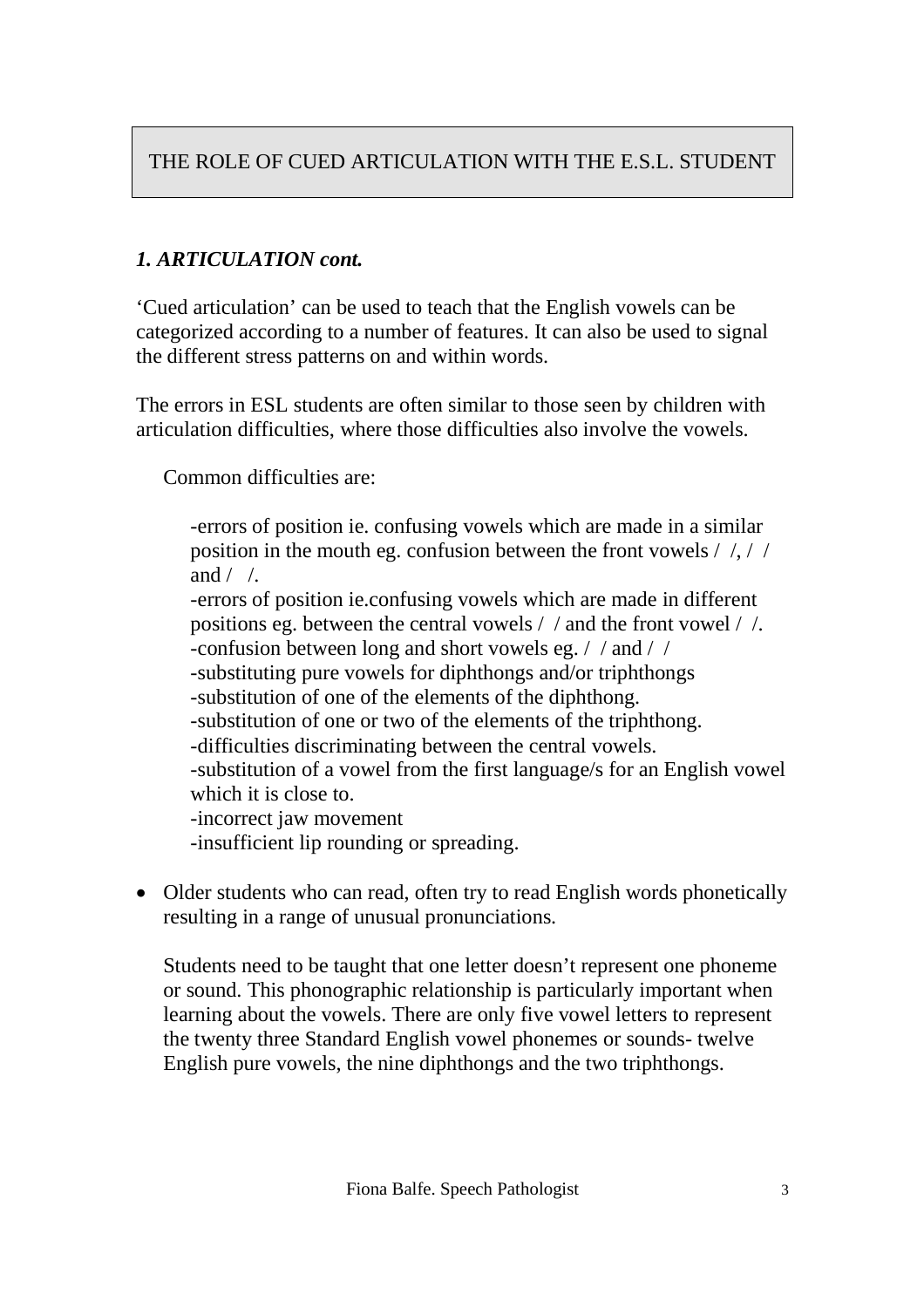# *1. ARTICULATION cont.*

'Cued articulation' can be used to teach that the English vowels can be categorized according to a number of features. It can also be used to signal the different stress patterns on and within words.

The errors in ESL students are often similar to those seen by children with articulation difficulties, where those difficulties also involve the vowels.

Common difficulties are:

-errors of position ie. confusing vowels which are made in a similar position in the mouth eg. confusion between the front vowels / /, / / and  $/ /$ . -errors of position ie.confusing vowels which are made in different positions eg. between the central vowels / / and the front vowel / /. -confusion between long and short vowels eg. / / and / / -substituting pure vowels for diphthongs and/or triphthongs -substitution of one of the elements of the diphthong. -substitution of one or two of the elements of the triphthong. -difficulties discriminating between the central vowels. -substitution of a vowel from the first language/s for an English vowel which it is close to. -incorrect jaw movement -insufficient lip rounding or spreading.

• Older students who can read, often try to read English words phonetically resulting in a range of unusual pronunciations.

Students need to be taught that one letter doesn't represent one phoneme or sound. This phonographic relationship is particularly important when learning about the vowels. There are only five vowel letters to represent the twenty three Standard English vowel phonemes or sounds- twelve English pure vowels, the nine diphthongs and the two triphthongs.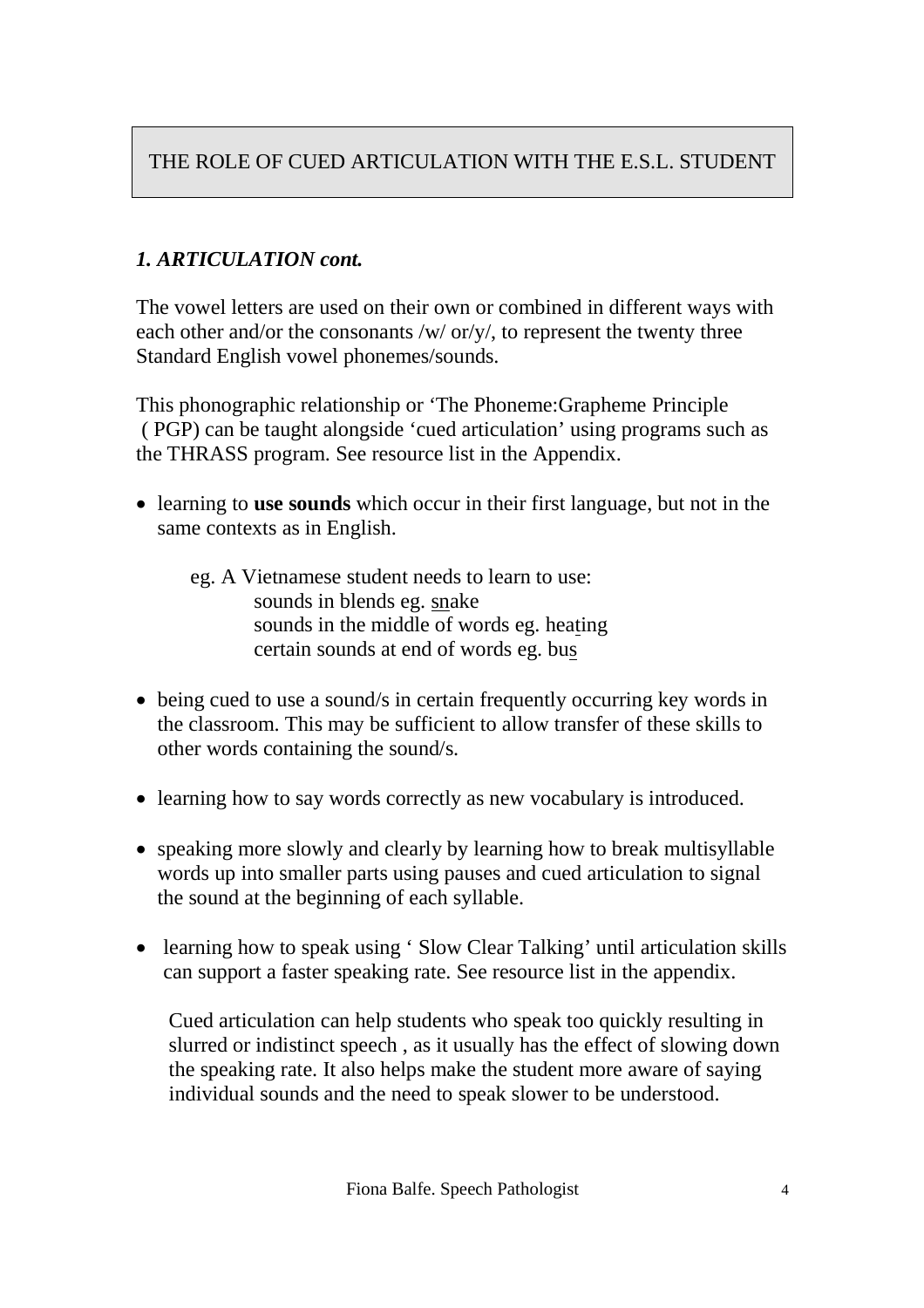### *1. ARTICULATION cont.*

The vowel letters are used on their own or combined in different ways with each other and/or the consonants /w/ or/y/, to represent the twenty three Standard English vowel phonemes/sounds.

This phonographic relationship or 'The Phoneme:Grapheme Principle ( PGP) can be taught alongside 'cued articulation' using programs such as the THRASS program. See resource list in the Appendix.

- learning to **use sounds** which occur in their first language, but not in the same contexts as in English.
	- eg. A Vietnamese student needs to learn to use: sounds in blends eg. snake sounds in the middle of words eg. heating certain sounds at end of words eg. bus
- being cued to use a sound/s in certain frequently occurring key words in the classroom. This may be sufficient to allow transfer of these skills to other words containing the sound/s.
- learning how to say words correctly as new vocabulary is introduced.
- speaking more slowly and clearly by learning how to break multisyllable words up into smaller parts using pauses and cued articulation to signal the sound at the beginning of each syllable.
- learning how to speak using 'Slow Clear Talking' until articulation skills can support a faster speaking rate. See resource list in the appendix.

Cued articulation can help students who speak too quickly resulting in slurred or indistinct speech , as it usually has the effect of slowing down the speaking rate. It also helps make the student more aware of saying individual sounds and the need to speak slower to be understood.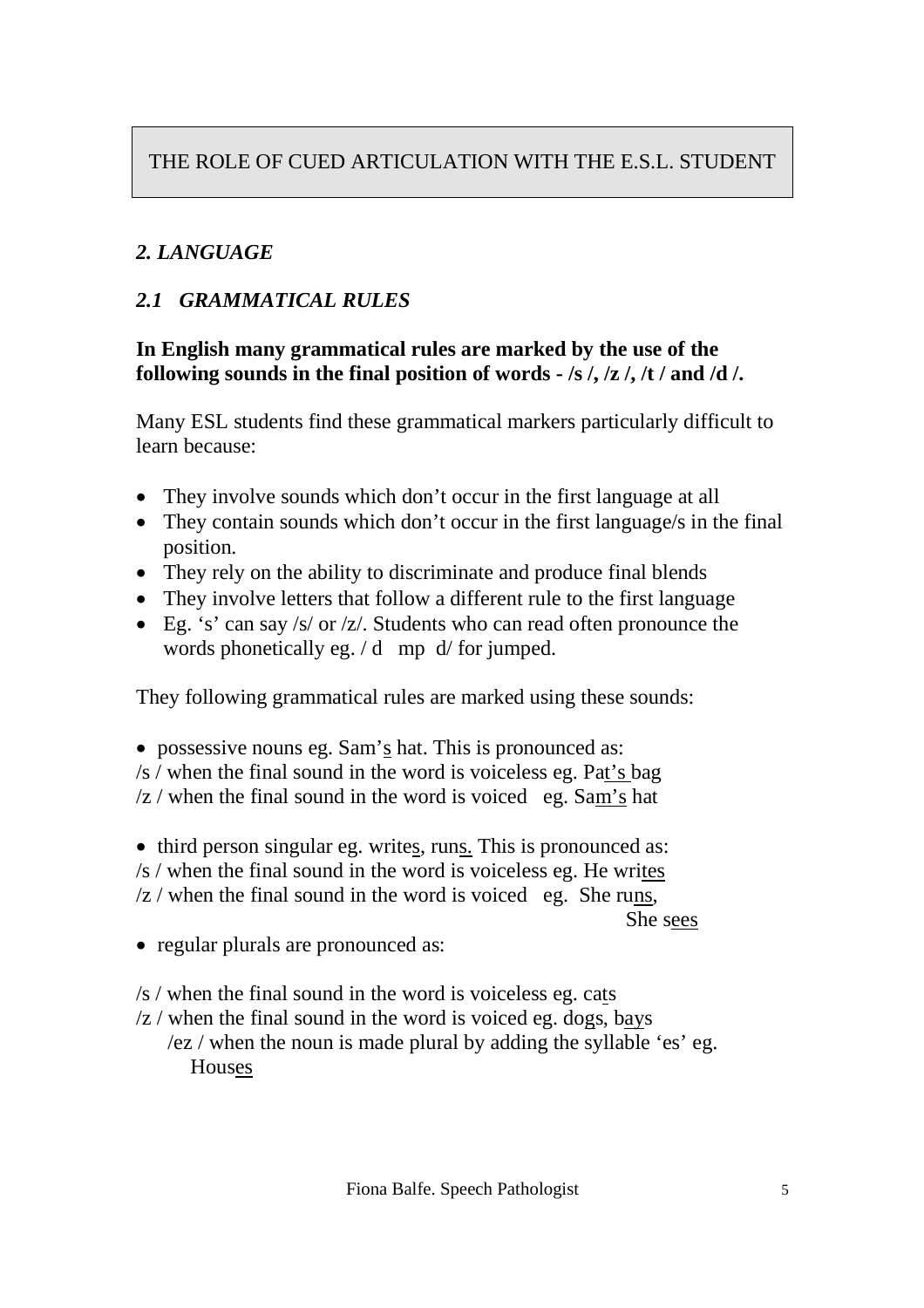# *2. LANGUAGE*

## *2.1 GRAMMATICAL RULES*

#### **In English many grammatical rules are marked by the use of the following sounds in the final position of words - /s /, /z /, /t / and /d /.**

Many ESL students find these grammatical markers particularly difficult to learn because:

- They involve sounds which don't occur in the first language at all
- They contain sounds which don't occur in the first language/s in the final position.
- They rely on the ability to discriminate and produce final blends
- They involve letters that follow a different rule to the first language
- Eg. 's' can say /s/ or /z/. Students who can read often pronounce the words phonetically eg. / d mp d/ for jumped.

They following grammatical rules are marked using these sounds:

possessive nouns eg. Sam's hat. This is pronounced as:

- /s / when the final sound in the word is voiceless eg. Pat's bag
- $\sqrt{z}$  / when the final sound in the word is voiced eg. Sam's hat

• third person singular eg. writes, runs. This is pronounced as: /s / when the final sound in the word is voiceless eg. He writes

 $\sqrt{z}$  / when the final sound in the word is voiced eg. She runs,

She sees

• regular plurals are pronounced as:

/s / when the final sound in the word is voiceless eg. cats

 $\sqrt{z}$  / when the final sound in the word is voiced eg. dogs, bays /ez / when the noun is made plural by adding the syllable 'es' eg. Houses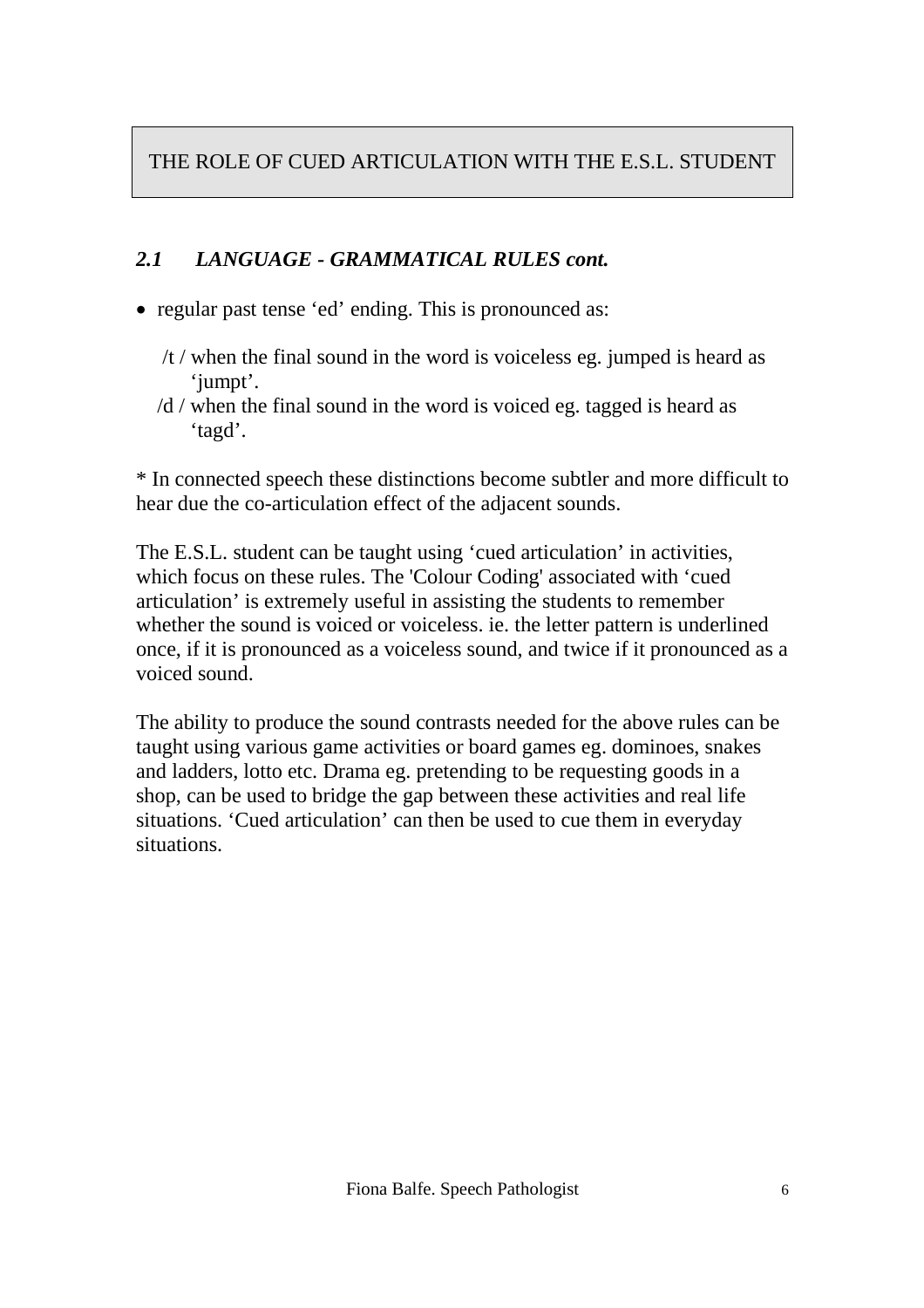#### *2.1 LANGUAGE - GRAMMATICAL RULES cont.*

- regular past tense 'ed' ending. This is pronounced as:
	- /t / when the final sound in the word is voiceless eg. jumped is heard as 'jumpt'.
	- /d / when the final sound in the word is voiced eg. tagged is heard as 'tagd'.

\* In connected speech these distinctions become subtler and more difficult to hear due the co-articulation effect of the adjacent sounds.

The E.S.L. student can be taught using 'cued articulation' in activities, which focus on these rules. The 'Colour Coding' associated with 'cued articulation' is extremely useful in assisting the students to remember whether the sound is voiced or voiceless. ie. the letter pattern is underlined once, if it is pronounced as a voiceless sound, and twice if it pronounced as a voiced sound.

The ability to produce the sound contrasts needed for the above rules can be taught using various game activities or board games eg. dominoes, snakes and ladders, lotto etc. Drama eg. pretending to be requesting goods in a shop, can be used to bridge the gap between these activities and real life situations. 'Cued articulation' can then be used to cue them in everyday situations.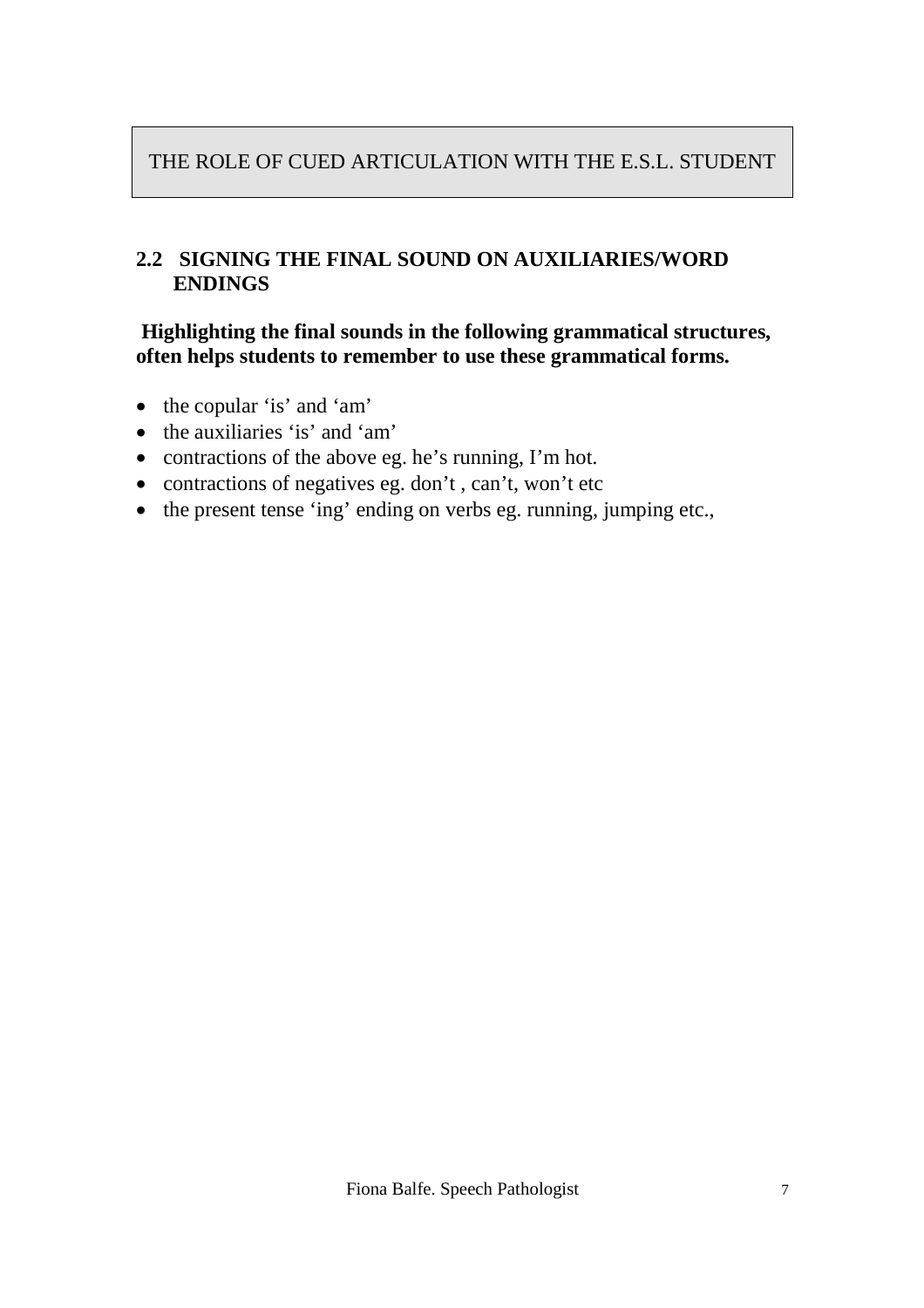#### **2.2 SIGNING THE FINAL SOUND ON AUXILIARIES/WORD ENDINGS**

#### **Highlighting the final sounds in the following grammatical structures, often helps students to remember to use these grammatical forms.**

- the copular 'is' and 'am'
- the auxiliaries 'is' and 'am'
- contractions of the above eg. he's running, I'm hot.
- contractions of negatives eg. don't, can't, won't etc
- the present tense 'ing' ending on verbs eg. running, jumping etc.,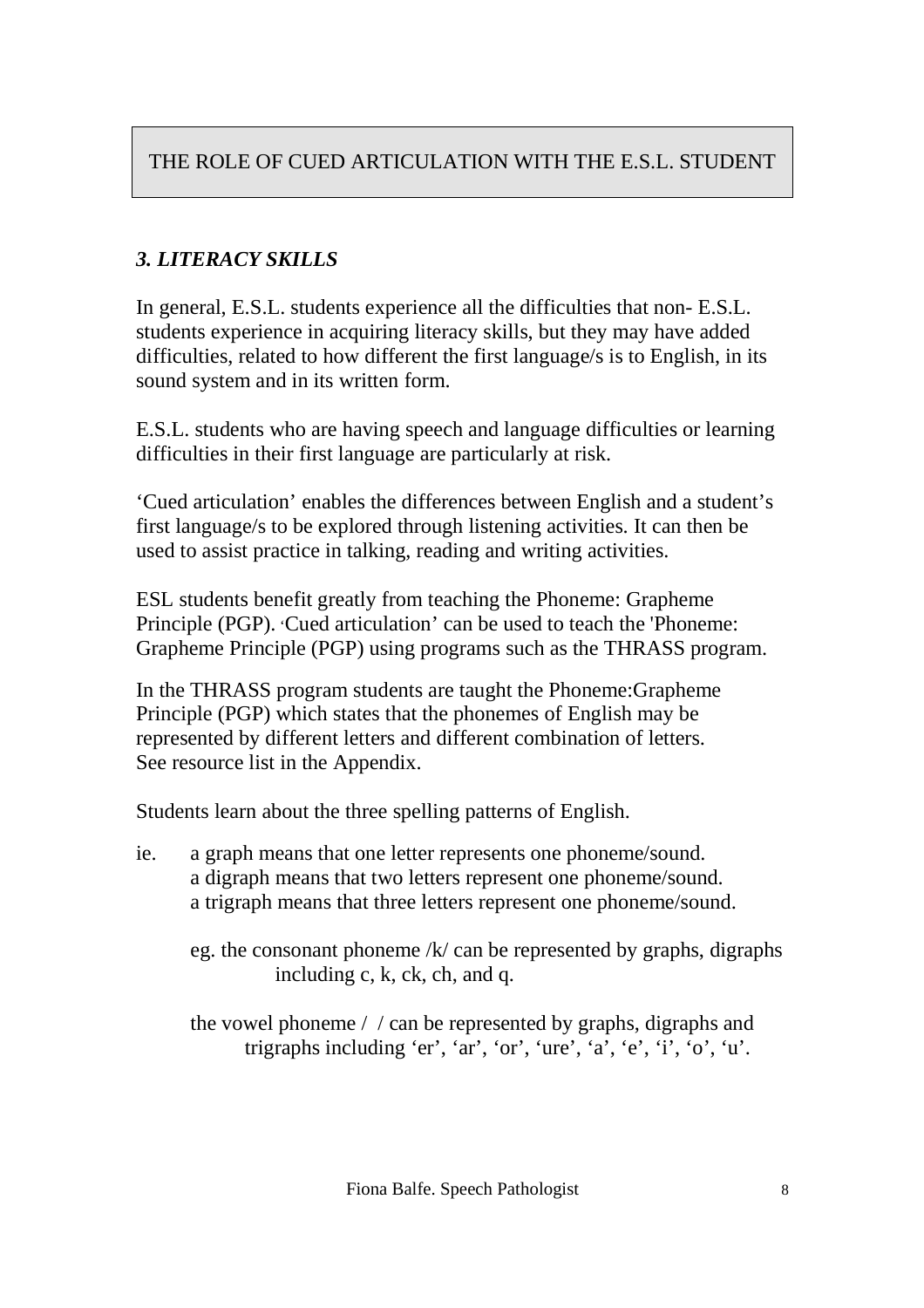# *3. LITERACY SKILLS*

In general, E.S.L. students experience all the difficulties that non- E.S.L. students experience in acquiring literacy skills, but they may have added difficulties, related to how different the first language/s is to English, in its sound system and in its written form.

E.S.L. students who are having speech and language difficulties or learning difficulties in their first language are particularly at risk.

'Cued articulation' enables the differences between English and a student's first language/s to be explored through listening activities. It can then be used to assist practice in talking, reading and writing activities.

ESL students benefit greatly from teaching the Phoneme: Grapheme Principle (PGP). 'Cued articulation' can be used to teach the 'Phoneme: Grapheme Principle (PGP) using programs such as the THRASS program.

In the THRASS program students are taught the Phoneme:Grapheme Principle (PGP) which states that the phonemes of English may be represented by different letters and different combination of letters. See resource list in the Appendix.

Students learn about the three spelling patterns of English.

- ie. a graph means that one letter represents one phoneme/sound. a digraph means that two letters represent one phoneme/sound. a trigraph means that three letters represent one phoneme/sound.
	- eg. the consonant phoneme  $/k$  can be represented by graphs, digraphs including c, k, ck, ch, and q.

the vowel phoneme / / can be represented by graphs, digraphs and trigraphs including 'er', 'ar', 'or', 'ure', 'a', 'e', 'i', 'o', 'u'.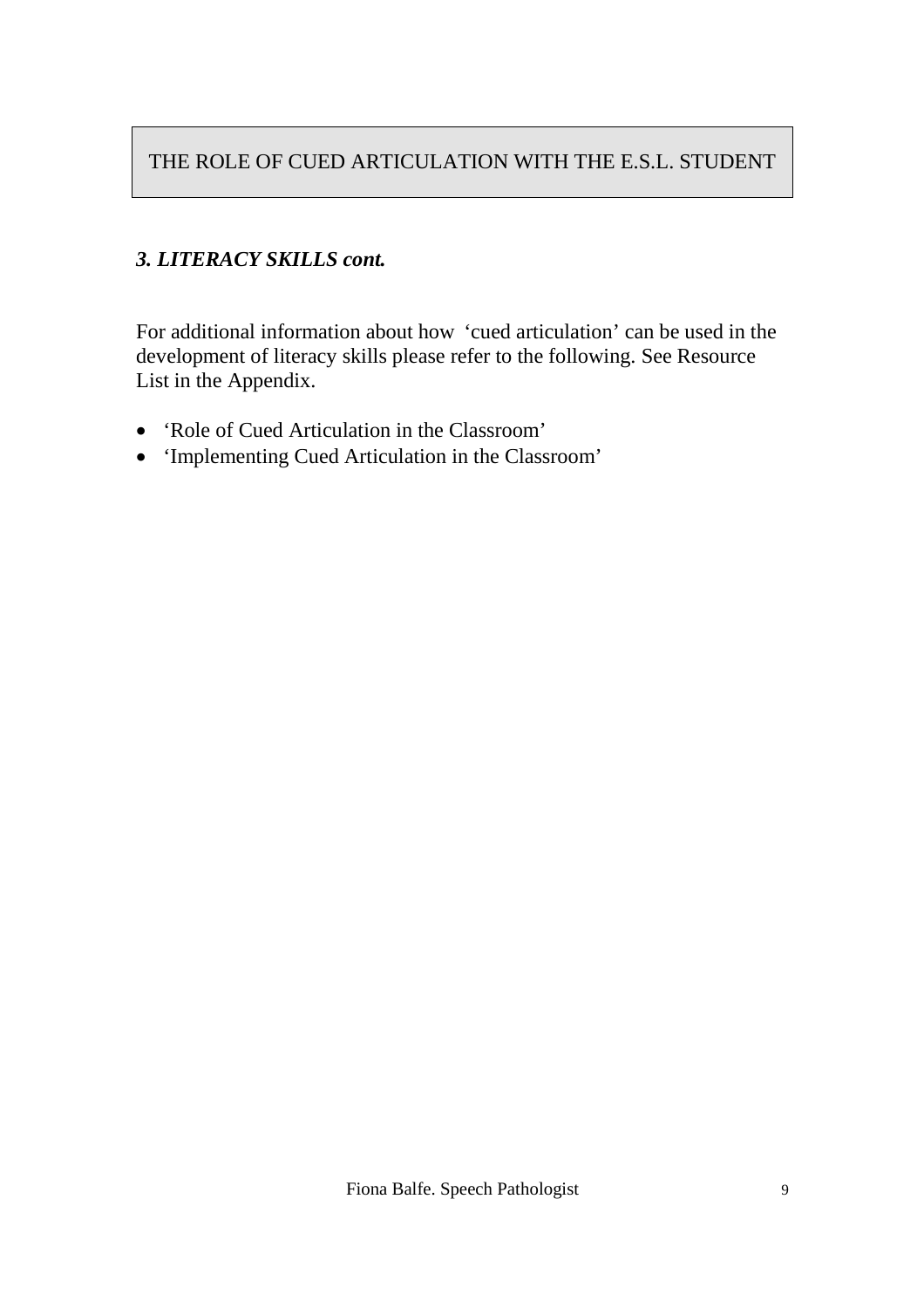### *3. LITERACY SKILLS cont.*

For additional information about how 'cued articulation' can be used in the development of literacy skills please refer to the following. See Resource List in the Appendix.

- 'Role of Cued Articulation in the Classroom'
- 'Implementing Cued Articulation in the Classroom'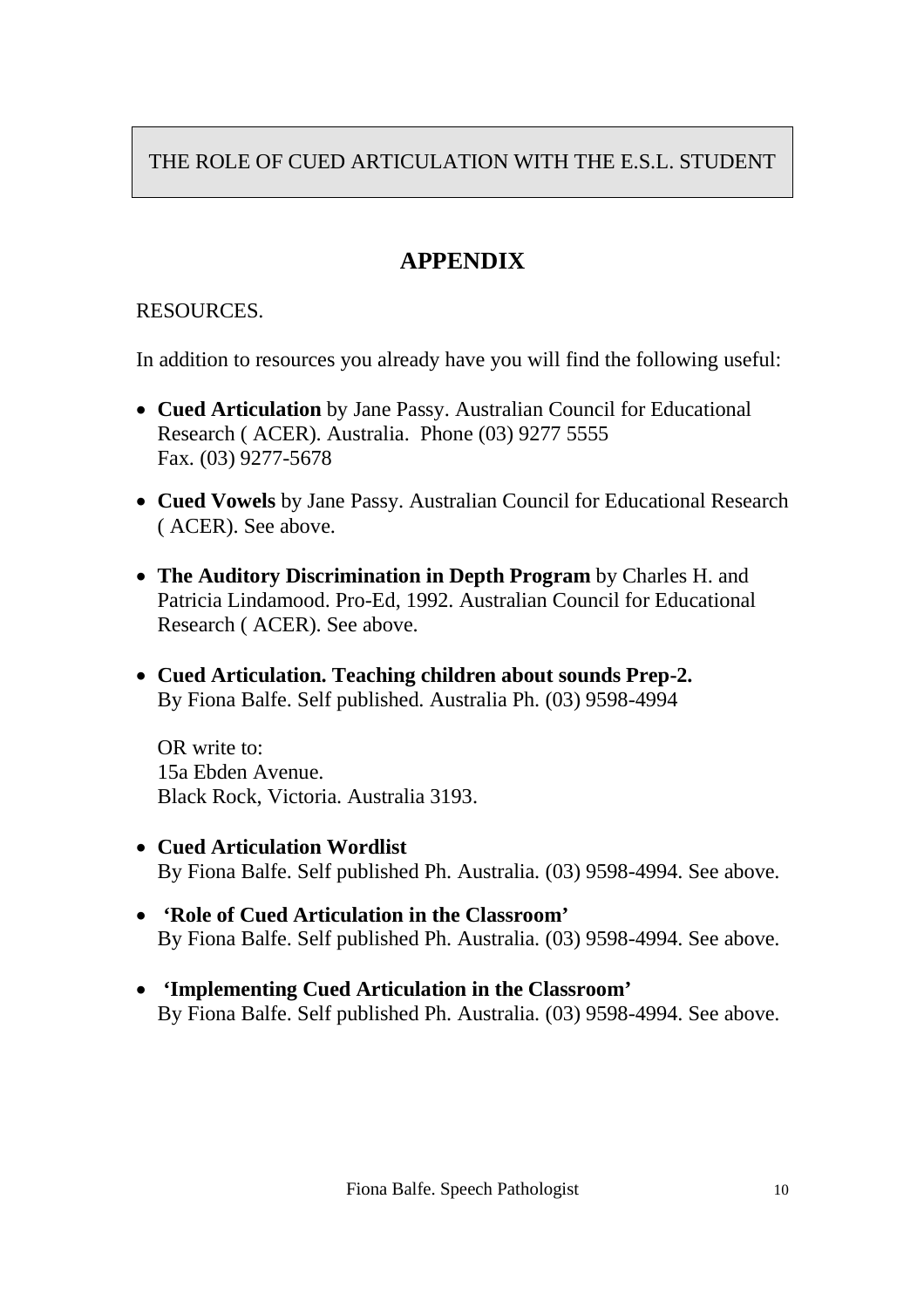# **APPENDIX**

### RESOURCES.

In addition to resources you already have you will find the following useful:

- **Cued Articulation** by Jane Passy. Australian Council for Educational Research ( ACER). Australia. Phone (03) 9277 5555 Fax. (03) 9277-5678
- **Cued Vowels** by Jane Passy. Australian Council for Educational Research ( ACER). See above.
- **The Auditory Discrimination in Depth Program** by Charles H. and Patricia Lindamood. Pro-Ed, 1992. Australian Council for Educational Research ( ACER). See above.
- **Cued Articulation. Teaching children about sounds Prep-2.** By Fiona Balfe. Self published. Australia Ph. (03) 9598-4994

OR write to: 15a Ebden Avenue. Black Rock, Victoria. Australia 3193.

- **Cued Articulation Wordlist** By Fiona Balfe. Self published Ph. Australia. (03) 9598-4994. See above.
- **'Role of Cued Articulation in the Classroom'** By Fiona Balfe. Self published Ph. Australia. (03) 9598-4994. See above.
- **'Implementing Cued Articulation in the Classroom'** By Fiona Balfe. Self published Ph. Australia. (03) 9598-4994. See above.